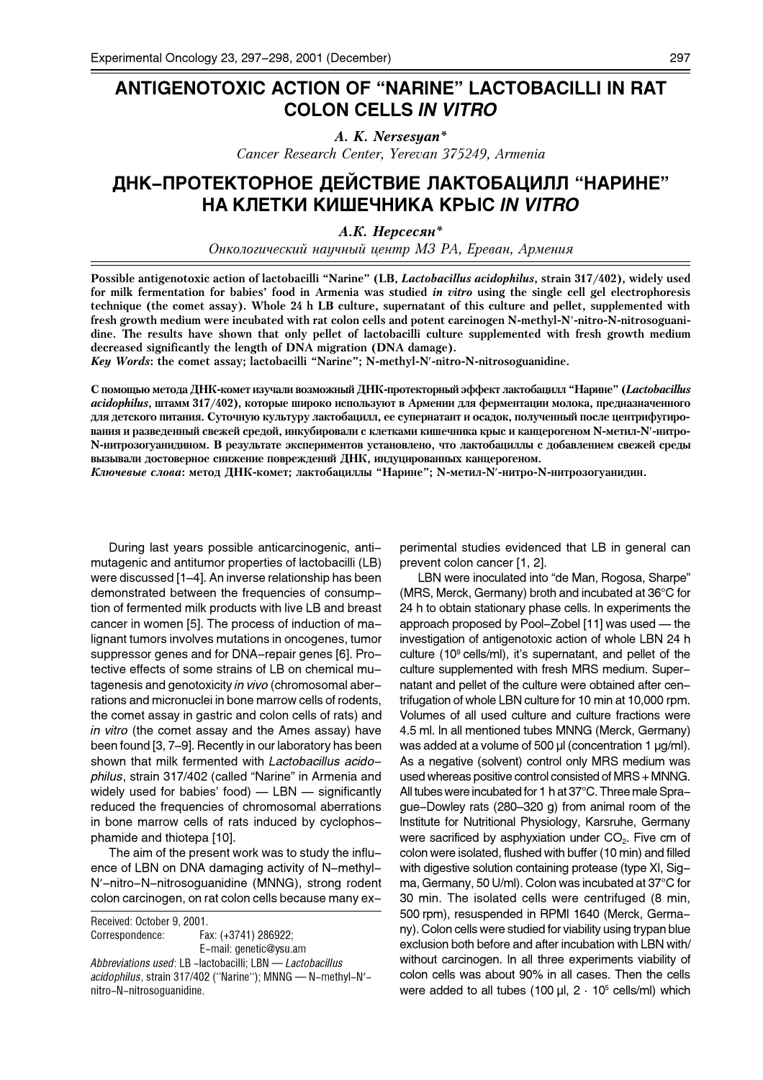## **ANTIGENOTOXIC ACTION OF "NARINE" LACTOBACILLI IN RAT COLON CELLS** *IN VITRO*

*A. K. Nersesyan\* Cancer Research Center, Yerevan 375249, Armenia*

## ДНК-ПРОТЕКТОРНОЕ ДЕЙСТВИЕ ЛАКТОБАЦИЛЛ "НАРИНЕ" НА КЛЕТКИ КИШЕЧНИКА КРЫС *IN VITRO*

*A.К. Нерсесян*\*

Онкологический научный центр МЗ РА, Ереван, Армения

**Possible antigenotoxic action of lactobacilli Narine (LB,** *Lactobacillus acidophilus***, strain 317/402), widely used for milk fermentation for babies food in Armenia was studied** *in vitro* **using the single cell gel electrophoresis technique (the comet assay). Whole 24 h LB culture, supernatant of this culture and pellet, supplemented with fresh growth medium were incubated with rat colon cells and potent carcinogen N-methyl-N**¢**-nitro-N-nitrosoguanidine. The results have shown that only pellet of lactobacilli culture supplemented with fresh growth medium decreased significantly the length of DNA migration (DNA damage).**

*Key Words***: the comet assay; lactobacilli Narine; N-methyl-N**¢**-nitro-N-nitrosoguanidine.**

С помощью метода ДНК-комет изучали возможный ДНК-протекторный эффект лактобацилл "Нарине" (*Lactobacillus acidophilus*, штамм 317/402), которые широко используют в Армении для ферментации молока, предназначенного для детского питания. Суточную культуру лактобацилл, ее супернатант и осадок, полученный после центрифугирования и разведенный свежей средой, инкубировали с клетками кишечника крыс и канцерогеном N-метил-N'-нитро-N-нитрозогуанидином. В результате экспериментов установлено, что лактобациллы с добавлением свежей среды вызывали достоверное снижение повреждений ДНК, индуцированных канцерогеном.

*Ключевые слова*: метод ДНК-комет; лактобациллы "Нарине"; N-метил-N'-нитро-N-нитрозогуанидин.

During last years possible anticarcinogenic, antimutagenic and antitumor properties of lactobacilli (LB) were discussed [1–4]. An inverse relationship has been demonstrated between the frequencies of consumption of fermented milk products with live LB and breast cancer in women [5]. The process of induction of malignant tumors involves mutations in oncogenes, tumor suppressor genes and for DNA-repair genes [6]. Protective effects of some strains of LB on chemical mutagenesis and genotoxicity *in vivo* (chromosomal aberrations and micronuclei in bone marrow cells of rodents, the comet assay in gastric and colon cells of rats) and *in vitro* (the comet assay and the Ames assay) have been found [3, 7-9]. Recently in our laboratory has been shown that milk fermented with *Lactobacillus acido*philus, strain 317/402 (called "Narine" in Armenia and widely used for babies' food)  $-$  LBN  $-$  significantly reduced the frequencies of chromosomal aberrations in bone marrow cells of rats induced by cyclophosphamide and thiotepa [10].

The aim of the present work was to study the influence of LBN on DNA damaging activity of N-methyl-N'-nitro-N-nitrosoguanidine (MNNG), strong rodent colon carcinogen, on rat colon cells because many ex-

Received: October 9, 2001. Correspondence: Fax: (+3741) 286922; E-mail: genetic@ysu.am *Abbreviations used*: LB -lactobacilli; LBN *Lactobacillus acidophilus*, strain 317/402 ("Narine"); MNNG - N-methyl-N'nitro-N-nitrosoguanidine.

perimental studies evidenced that LB in general can prevent colon cancer [1, 2].

LBN were inoculated into "de Man, Rogosa, Sharpe" (MRS, Merck, Germany) broth and incubated at 36°C for 24 h to obtain stationary phase cells. In experiments the approach proposed by Pool-Zobel [11] was used - the investigation of antigenotoxic action of whole LBN 24 h culture (10 $\degree$  cells/ml), it's supernatant, and pellet of the culture supplemented with fresh MRS medium. Supernatant and pellet of the culture were obtained after centrifugation of whole LBN culture for 10 min at 10,000 rpm. Volumes of all used culture and culture fractions were 4.5 ml. In all mentioned tubes MNNG (Merck, Germany) was added at a volume of 500 µl (concentration 1 µg/ml). As a negative (solvent) control only MRS medium was used whereas positive control consisted of MRS + MNNG. All tubes were incubated for 1 h at 37°C. Three male Sprague-Dowley rats (280-320 g) from animal room of the Institute for Nutritional Physiology, Karsruhe, Germany were sacrificed by asphyxiation under  $CO<sub>2</sub>$ . Five cm of colon were isolated, flushed with buffer (10 min) and filled with digestive solution containing protease (type XI, Sigma, Germany, 50 U/ml). Colon was incubated at 37°C for 30 min. The isolated cells were centrifuged (8 min, 500 rpm), resuspended in RPMI 1640 (Merck, Germany). Colon cells were studied for viability using trypan blue exclusion both before and after incubation with LBN with/ without carcinogen. In all three experiments viability of colon cells was about 90% in all cases. Then the cells were added to all tubes (100  $\mu$ l, 2  $\cdot$  10<sup>5</sup> cells/ml) which